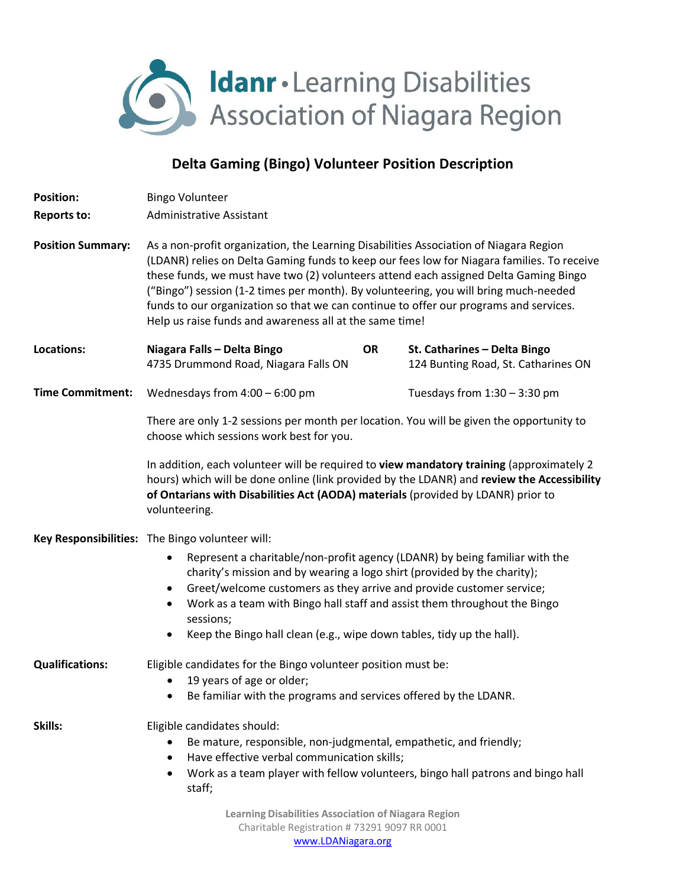

## **Delta Gaming (Bingo) Volunteer Position Description**

| <b>Position:</b>         | <b>Bingo Volunteer</b>                                                                                                                                                                                                                                                                                                                                                                                                                                                                                                  |
|--------------------------|-------------------------------------------------------------------------------------------------------------------------------------------------------------------------------------------------------------------------------------------------------------------------------------------------------------------------------------------------------------------------------------------------------------------------------------------------------------------------------------------------------------------------|
| <b>Reports to:</b>       | <b>Administrative Assistant</b>                                                                                                                                                                                                                                                                                                                                                                                                                                                                                         |
| <b>Position Summary:</b> | As a non-profit organization, the Learning Disabilities Association of Niagara Region<br>(LDANR) relies on Delta Gaming funds to keep our fees low for Niagara families. To receive<br>these funds, we must have two (2) volunteers attend each assigned Delta Gaming Bingo<br>("Bingo") session (1-2 times per month). By volunteering, you will bring much-needed<br>funds to our organization so that we can continue to offer our programs and services.<br>Help us raise funds and awareness all at the same time! |
| Locations:               | Niagara Falls - Delta Bingo<br><b>OR</b><br>St. Catharines - Delta Bingo<br>4735 Drummond Road, Niagara Falls ON<br>124 Bunting Road, St. Catharines ON                                                                                                                                                                                                                                                                                                                                                                 |
| <b>Time Commitment:</b>  | Wednesdays from $4:00 - 6:00$ pm<br>Tuesdays from $1:30 - 3:30$ pm                                                                                                                                                                                                                                                                                                                                                                                                                                                      |
|                          | There are only 1-2 sessions per month per location. You will be given the opportunity to<br>choose which sessions work best for you.                                                                                                                                                                                                                                                                                                                                                                                    |
|                          | In addition, each volunteer will be required to view mandatory training (approximately 2<br>hours) which will be done online (link provided by the LDANR) and review the Accessibility<br>of Ontarians with Disabilities Act (AODA) materials (provided by LDANR) prior to<br>volunteering.                                                                                                                                                                                                                             |
|                          | Key Responsibilities: The Bingo volunteer will:                                                                                                                                                                                                                                                                                                                                                                                                                                                                         |
|                          | Represent a charitable/non-profit agency (LDANR) by being familiar with the<br>٠<br>charity's mission and by wearing a logo shirt (provided by the charity);<br>Greet/welcome customers as they arrive and provide customer service;<br>$\bullet$<br>Work as a team with Bingo hall staff and assist them throughout the Bingo<br>$\bullet$<br>sessions;<br>Keep the Bingo hall clean (e.g., wipe down tables, tidy up the hall).<br>٠                                                                                  |
| <b>Qualifications:</b>   | Eligible candidates for the Bingo volunteer position must be:                                                                                                                                                                                                                                                                                                                                                                                                                                                           |
|                          | 19 years of age or older;<br>Be familiar with the programs and services offered by the LDANR.                                                                                                                                                                                                                                                                                                                                                                                                                           |
| Skills:                  | Eligible candidates should:<br>Be mature, responsible, non-judgmental, empathetic, and friendly;<br>Have effective verbal communication skills;<br>٠<br>Work as a team player with fellow volunteers, bingo hall patrons and bingo hall<br>$\bullet$<br>staff;<br><b>Learning Disabilities Association of Niagara Region</b><br>Charitable Registration # 73291 9097 RR 0001                                                                                                                                            |